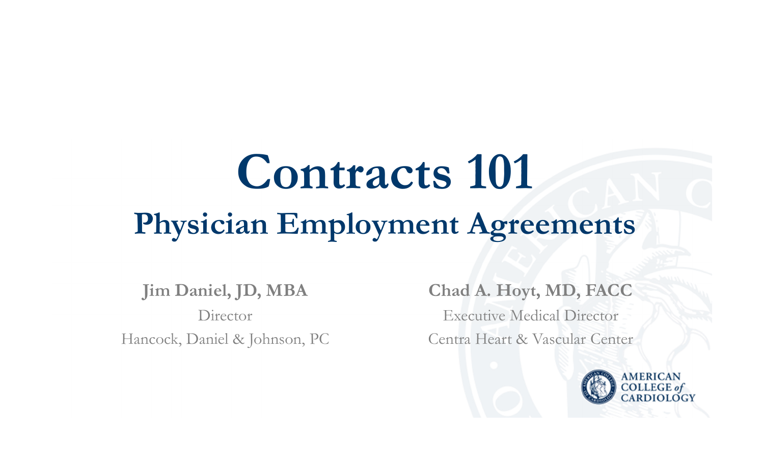# **Contracts 101Physician Employment Agreements**

**Jim Daniel, JD, MBADirector** Hancock, Daniel & Johnson, PC

**Chad A. Hoyt, MD, FACC** Executive Medical DirectorCentra Heart & Vascular Center

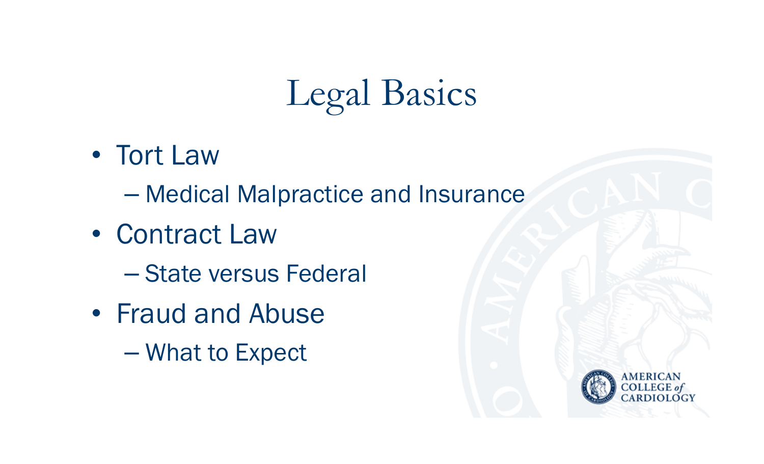# Legal Basics

- Tort Law
	- $\mathcal{L}_{\mathcal{A}}$  , and the set of the set of the set of the set of the set of the set of the set of the set of the set of the set of the set of the set of the set of the set of the set of the set of the set of the set of th  $-$  Medical Malpractice and Insurance
- $\bullet$  Contract Law
	- $\mathcal{L}_{\mathcal{A}}$  , and the set of the set of the set of the set of the set of the set of the set of the set of the set of the set of the set of the set of the set of the set of the set of the set of the set of the set of th - State versus Federal
- Fraud and Abuse
	- Paris Paris II. What to Expect

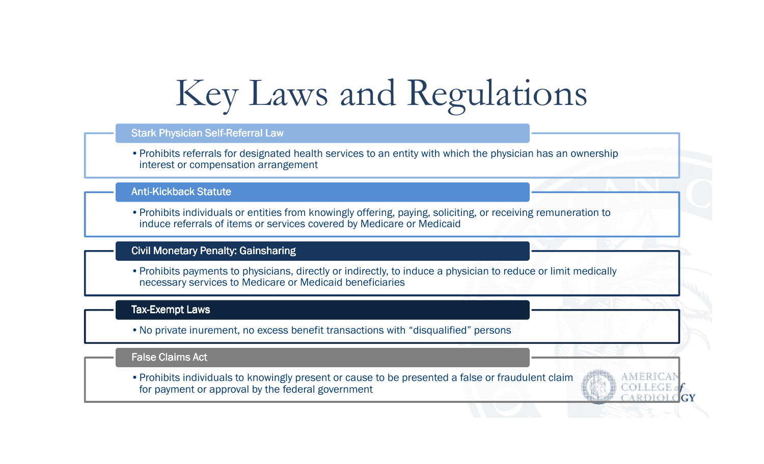## Key Laws and Regulations

#### Stark Physician Self-Referral Law

•Prohibits referrals for designated health services to an entity with which the physician has an ownership interest or compensation arrangement

#### Anti-Kickback Statut<mark>e</mark>

•Prohibits individuals or entities from knowingly offering, paying, soliciting, or receiving remuneration to induce referrals of items or services covered by Medicare or Medicaid

#### Civil Monetary Penalty: Gainsharing

•Prohibits payments to physicians, directly or indirectly, to induce a physician to reduce or limit medically necessary services to Medicare or Medicaid beneficiaries

#### Tax-Exempt Laws

•No private inurement, no excess benefit transactions with "disqualified" persons

#### False Claims Act

•Prohibits individuals to knowingly present or cause to be presented a false or fraudulent claim for payment or approval by the federal government

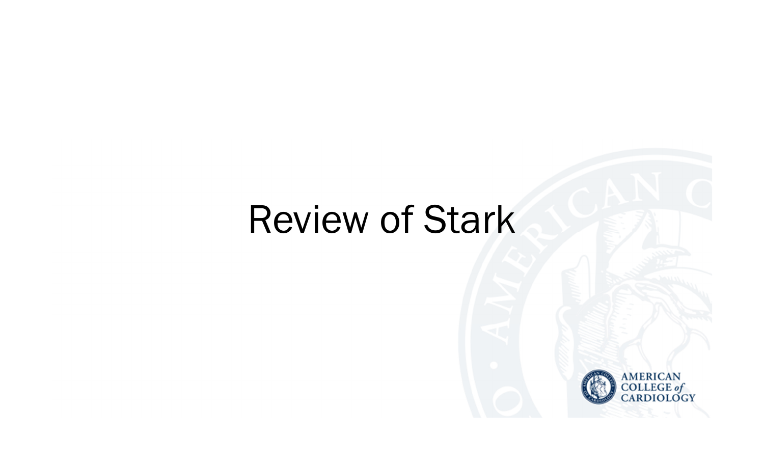### Review of Stark

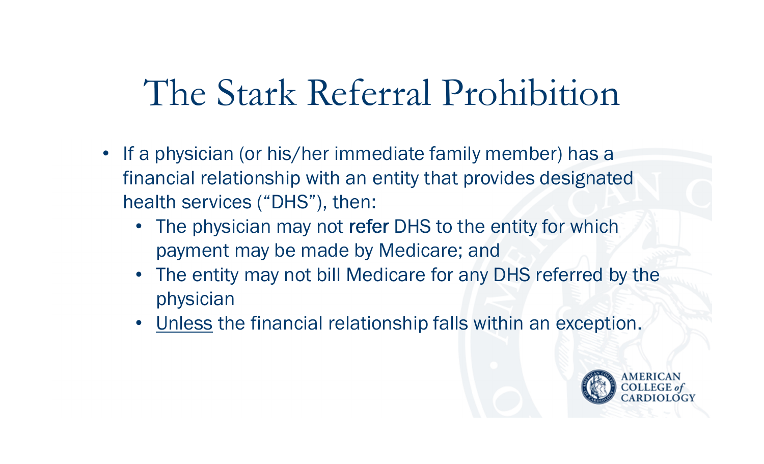### The Stark Referral Prohibition

- If a physician (or his/her immediate family member) has a financial relationship with an entity that provides designated health services ("DHS"), then:
	- The physician may not refer DHS to the entity for which<br>nayment may be made by Medicare; and payment may be made by Medicare; and
	- The entity may not bill Medicare for any DHS referred by the physician
	- Unless the financial relationship falls within an exception.

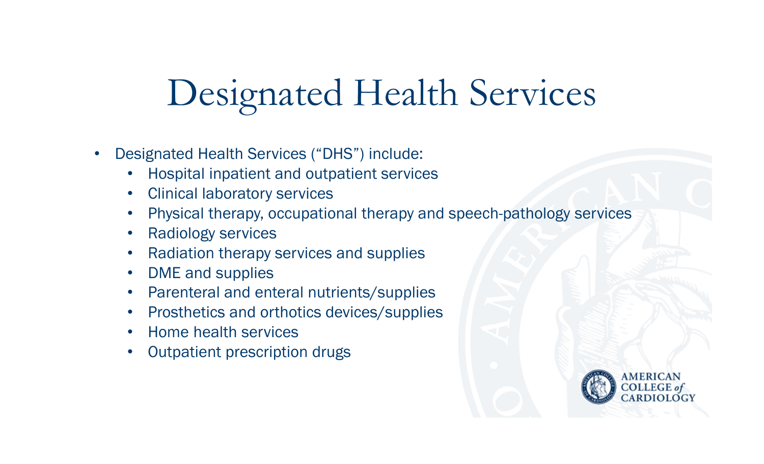# Designated Health Services

- $\bullet$  Designated Health Services ("DHS") include:
	- •Hospital inpatient and outpatient services
	- •Clinical laboratory services
	- •Physical therapy, occupational therapy and speech-pathology services
	- •Radiology services
	- $\bullet$ Radiation therapy services and supplies
	- •DME and supplies
	- $\bullet$ Parenteral and enteral nutrients/supplies
	- •Prosthetics and orthotics devices/supplies
	- $\bullet$ Home health services
	- $\bullet$ Outpatient prescription drugs

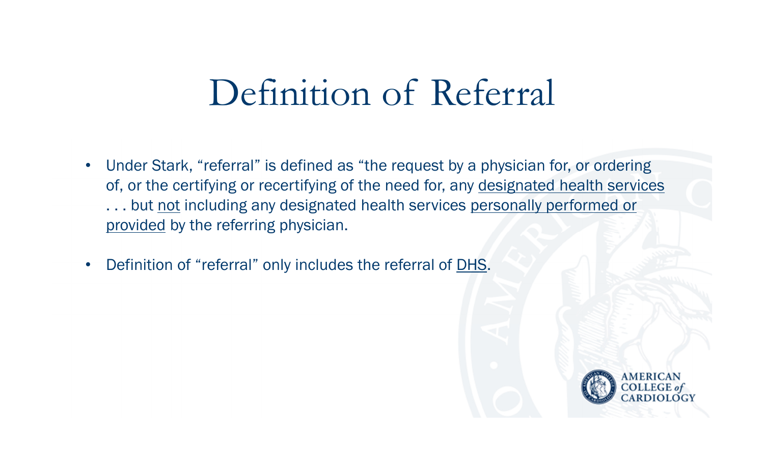### Definition of Referral

- • Under Stark, "referral" is defined as "the request by a physician for, or ordering of, or the certifying or recertifying of the need for, any designated health services ... but not including any designated health services personally performed or provided by the referring physician.
- •Definition of "referral" only includes the referral of DHS.

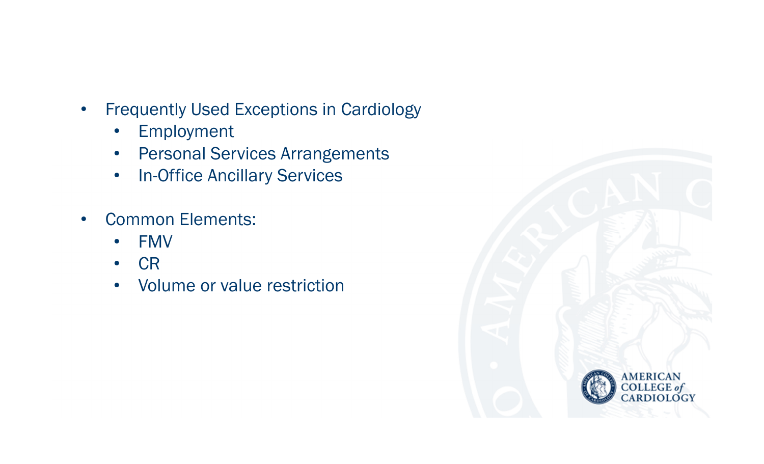- $\bullet$  Frequently Used Exceptions in Cardiology
	- $\bullet$ Employment
	- Personal Services Arrangements
	- •In-Office Ancillary Services
- • Common Elements:
	- $\bullet$ FMV
	- $\bullet$ **CR**
	- Volume or value restriction •

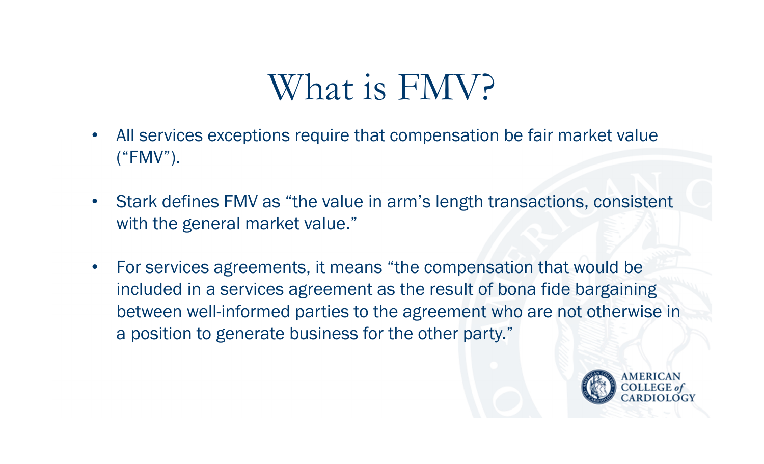### What is FMV?

- • All services exceptions require that compensation be fair market value ("FMV").
- Stark defines FMV as "the value in arm's length transactions, consistent with the general market value."
- • For services agreements, it means "the compensation that would be included in a services agreement as the result of bona fide bargaining between well-informed parties to the agreement who are not otherwise in a position to generate business for the other party."

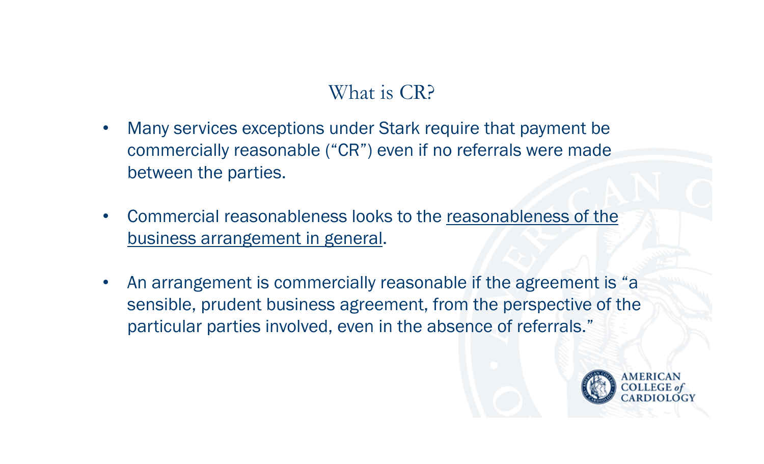#### What is CR?

- • Many services exceptions under Stark require that payment be commercially reasonable ("CR") even if no referrals were made between the parties.
- • Commercial reasonableness looks to the reasonableness of the business arrangement in general.
- • An arrangement is commercially reasonable if the agreement is "a sensible, prudent business agreement, from the perspective of the particular parties involved, even in the absence of referrals."

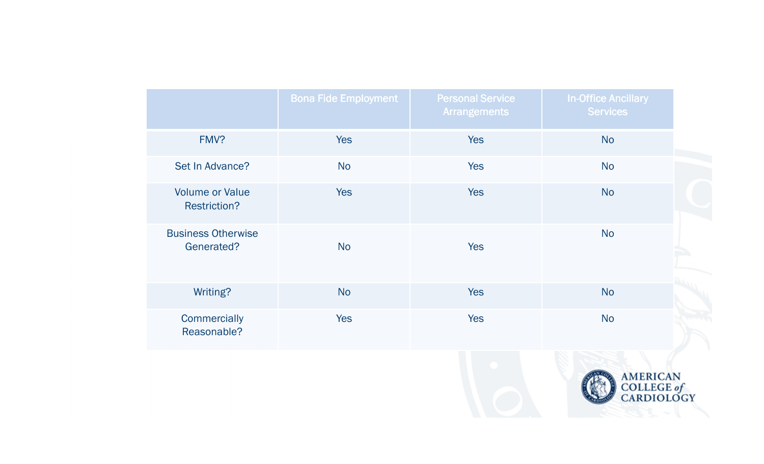|                                               | <b>Bona Fide Employment</b> | <b>Personal Service</b><br><b>Arrangements</b> | <b>In-Office Ancillary</b><br><b>Services</b> |  |
|-----------------------------------------------|-----------------------------|------------------------------------------------|-----------------------------------------------|--|
| FMV?                                          | <b>Yes</b>                  | <b>Yes</b>                                     | <b>No</b>                                     |  |
| Set In Advance?                               | <b>No</b>                   | <b>Yes</b>                                     | <b>No</b>                                     |  |
| <b>Volume or Value</b><br><b>Restriction?</b> | <b>Yes</b>                  | <b>Yes</b>                                     | <b>No</b>                                     |  |
| <b>Business Otherwise</b><br>Generated?       | <b>No</b>                   | <b>Yes</b>                                     | <b>No</b>                                     |  |
| Writing?                                      | <b>No</b>                   | <b>Yes</b>                                     | <b>No</b>                                     |  |
| Commercially<br>Reasonable?                   | <b>Yes</b>                  | <b>Yes</b>                                     | <b>No</b>                                     |  |

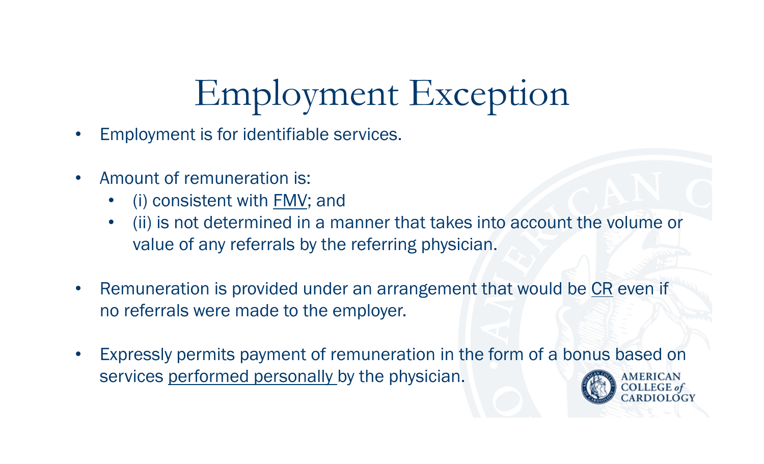# Employment Exception

- •Employment is for identifiable services.
- • Amount of remuneration is:
	- •(i) consistent with FMV; and
	- • (ii) is not determined in a manner that takes into account the volume or value of any referrals by the referring physician.
- $\bullet$ Remuneration is provided under an arrangement that would be CR even if no referrals were made to the employer.
- $\bullet$  Expressly permits payment of remuneration in the form of a bonus based on services performed personally by the physician.

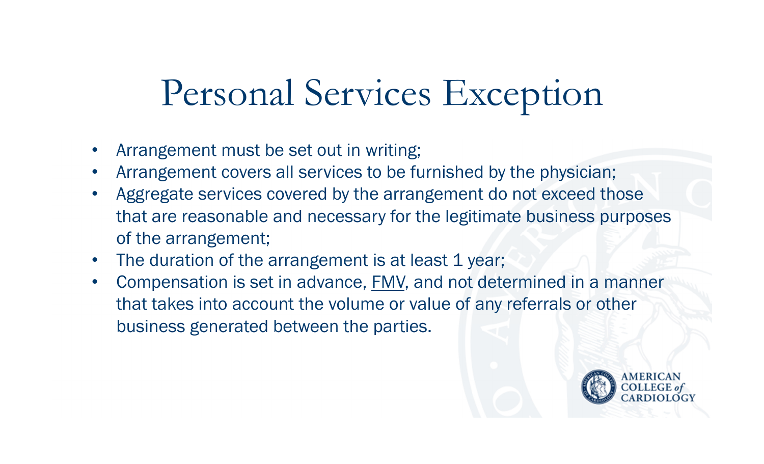## Personal Services Exception

- •Arrangement must be set out in writing;
- •Arrangement covers all services to be furnished by the physician;
- • Aggregate services covered by the arrangement do not exceed those that are reasonable and necessary for the legitimate business purposes of the arrangement;
- $\bullet$ The duration of the arrangement is at least 1 year;
- • Compensation is set in advance, FMV, and not determined in a manner that takes into account the volume or value of any referrals or other business generated between the parties.

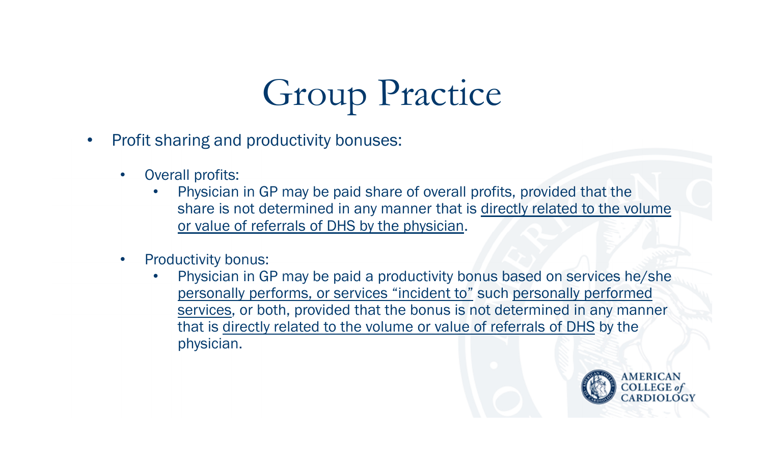# Group Practice

- $\bullet$  Profit sharing and productivity bonuses:
	- $\bullet$  Overall profits:
		- • Physician in GP may be paid share of overall profits, provided that the share is not determined in any manner that is directly related to the volume or value of referrals of DHS by the physician.
	- $\bullet$  Productivity bonus:
		- • Physician in GP may be paid a productivity bonus based on services he/she personally performs, or services "incident to" such personally performed services, or both, provided that the bonus is not determined in any manner that is directly related to the volume or value of referrals of DHS by the physician.

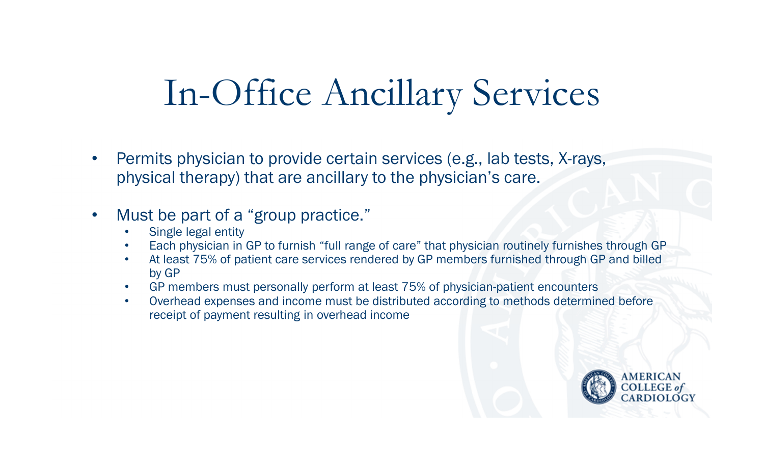### In-Office Ancillary Services

• Permits physician to provide certain services (e.g., lab tests, X-rays, physical therapy) that are ancillary to the physician's care.

#### $\bullet$ Must be part of a "group practice."

- •Single legal entity
- Each physician in GP to furnish "full range of care" that physician routinely furnishes through GP•
- At least 75% of patient care services rendered by GP members furnished through GP and billed •by GP
- GP members must personally perform at least 75% of physician-patient encounters•
- Overhead expenses and income must be distributed according to methods determined before  $\bullet$ receipt of payment resulting in overhead income

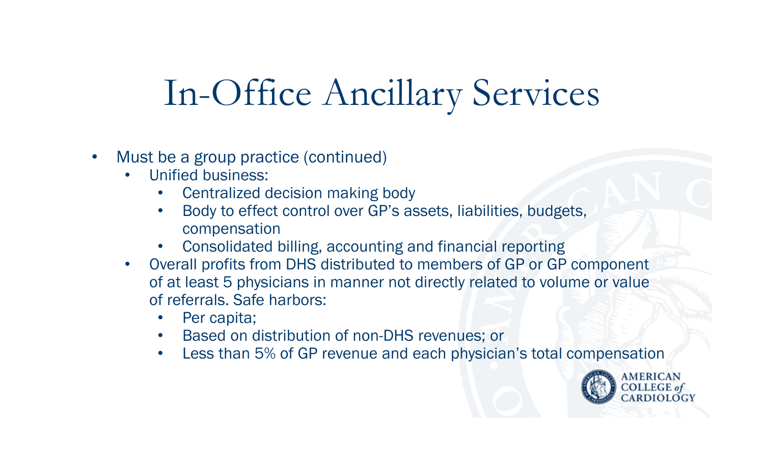### In-Office Ancillary Services

- • Must be a group practice (continued)
	- $\bullet$  Unified business:
		- •Centralized decision making body
		- Body to effect control over GP's assets, liabilities, budgets, •compensation
		- Consolidated billing, accounting and financial reporting•
	- Overall profits from DHS distributed to members of GP or GP component  $\bullet$ of at least 5 physicians in manner not directly related to volume or value of referrals. Safe harbors:
		- •Per capita;
		- •Based on distribution of non-DHS revenues; or
		- $\bullet$ Less than 5% of GP revenue and each physician's total compensation

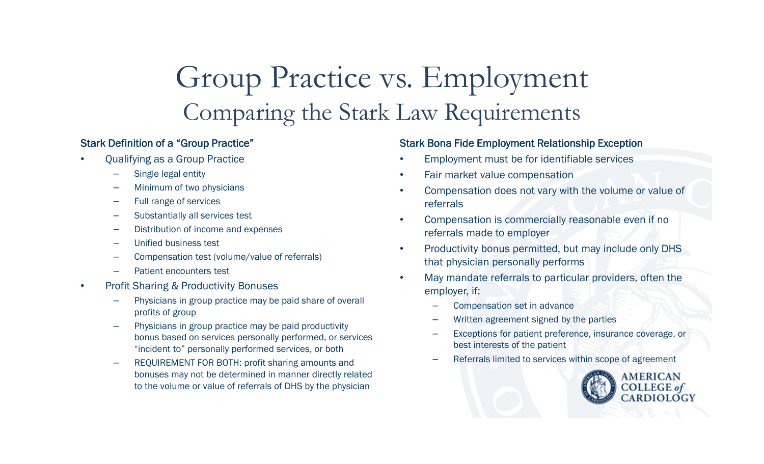#### Group Practice vs. EmploymentComparing the Stark Law Requirements

#### Stark Definition of a "Group Practice"

- • Qualifying as a Group Practice
	- Single legal entity
	- Minimum of two physicians
	- Full range of services
	- Substantially all services test
	- Distribution of income and expenses
	- Unified business test
	- Compensation test (volume/value of referrals)
	- Patient encounters test
- • Profit Sharing & Productivity Bonuses
	- Physicians in group practice may be paid share of overall profits of group
	- Physicians in group practice may be paid productivity bonus based on services personally performed, or services "incident to" personally performed services, or both
	- REQUIREMENT FOR BOTH: profit sharing amounts and bonuses may not be determined in manner directly related to the volume or value of referrals of DHS by the physician

#### Stark Bona Fide Employment Relationship Exception

- •Employment must be for identifiable services
- •Fair market value compensation
- $\bullet$  Compensation does not vary with the volume or value of referrals
- • Compensation is commercially reasonable even if no referrals made to employer
- • Productivity bonus permitted, but may include only DHS that physician personally performs
- • May mandate referrals to particular providers, often the employer, if:
	- –Compensation set in advance
	- –Written agreement signed by the parties
	- – Exceptions for patient preference, insurance coverage, or best interests of the patient
	- –Referrals limited to services within scope of agreement

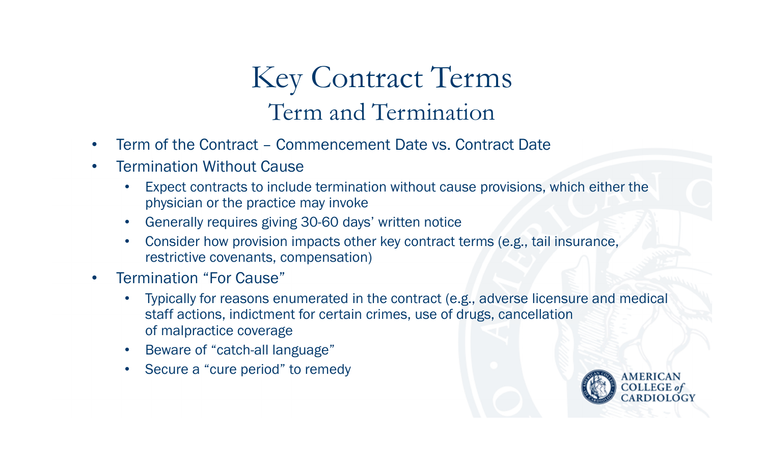#### Key Contract TermsTerm and Termination

- •Term of the Contract – Commencement Date vs. Contract Date
- $\bullet$  Termination Without Cause
	- Expect contracts to include termination without cause provisions, which either the •physician or the practice may invoke
	- Generally requires giving 30-60 days' written notice $\bullet$
	- Consider how provision impacts other key contract terms (e.g., tail insurance, •restrictive covenants, compensation)
- • Termination "For Cause"
	- $\bullet$  Typically for reasons enumerated in the contract (e.g., adverse licensure and medical staff actions, indictment for certain crimes, use of drugs, cancellation of malpractice coverage
	- Beware of "catch-all language" •
	- $\bullet$ Secure a "cure period" to remedy

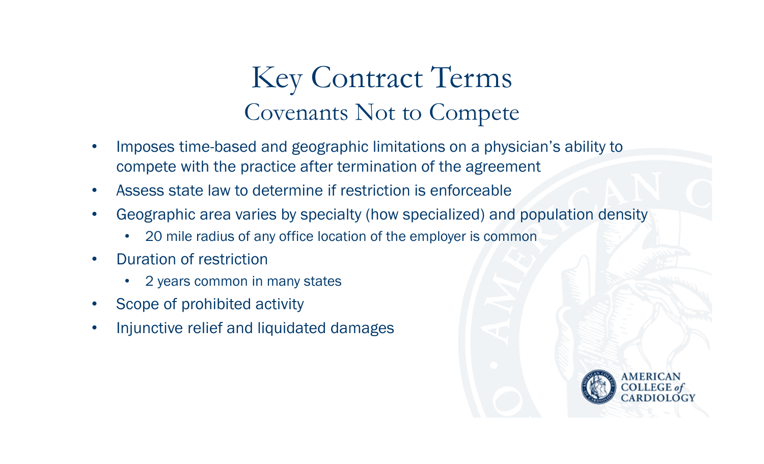#### Key Contract TermsCovenants Not to Compete

- • Imposes time-based and geographic limitations on a physician's ability to compete with the practice after termination of the agreement
- •Assess state law to determine if restriction is enforceable
- • Geographic area varies by specialty (how specialized) and population density
	- $\bullet$ 20 mile radius of any office location of the employer is common
- • Duration of restriction
	- •2 years common in many states
- •Scope of prohibited activity
- •Injunctive relief and liquidated damages

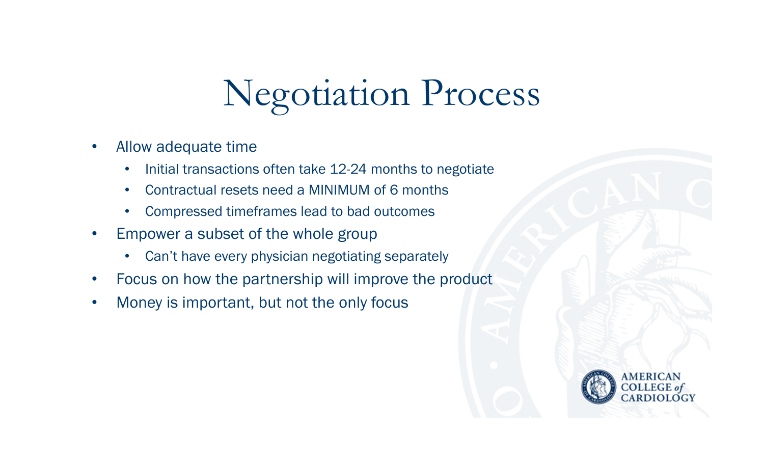# Negotiation Process

- $\bullet$  Allow adequate time
	- $\bullet$ Initial transactions often take 12-24 months to negotiate
	- •Contractual resets need a MINIMUM of 6 months
	- $\bullet$ Compressed timeframes lead to bad outcomes
- $\bullet$  Empower a subset of the whole group
	- $\bullet$ Can't have every physician negotiating separately
- •Focus on how the partnership will improve the product
- $\bullet$ Money is important, but not the only focus

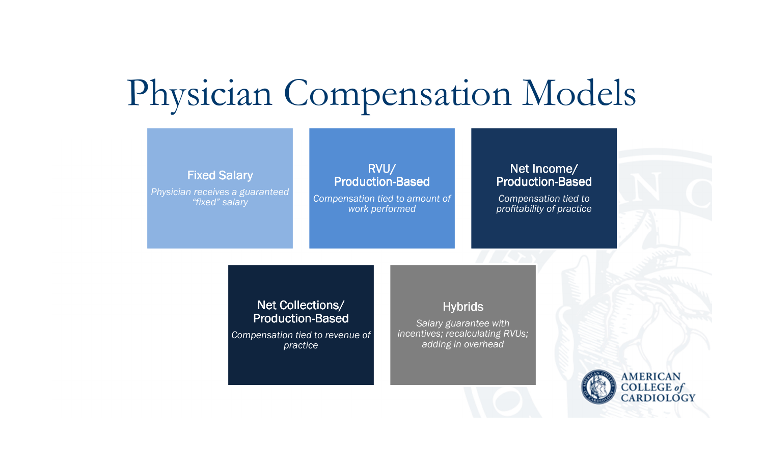### Physician Compensation Models

#### Fixed Salary*Physician receives a guaranteed "fixed" salary*RVU/Production-Based *Compensation tied to amount of work performed*Net Income/Production-Based *Compensation tied to profitability of practice*Net Collections/Production-Based **Hybrids** *Salary guarantee with*

*Compensation tied to revenue of practice*

 *incentives; recalculating RVUs; adding in overhead*

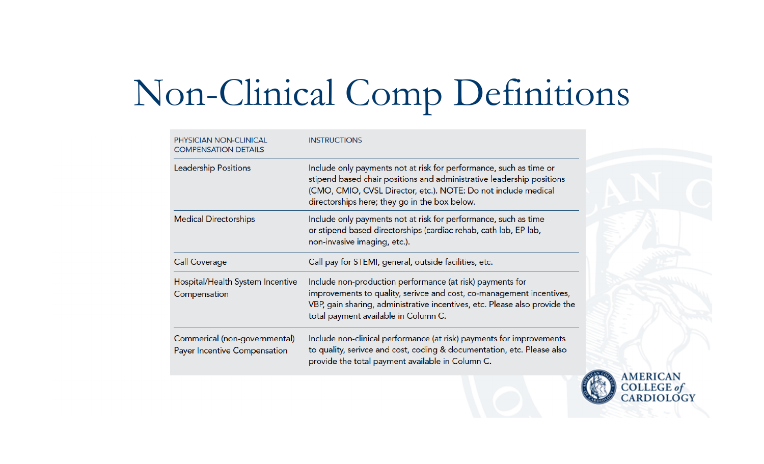# Non-Clinical Comp Definitions

| <b>PHYSICIAN NON-CLINICAL</b><br><b>COMPENSATION DETAILS</b>  | <b>INSTRUCTIONS</b>                                                                                                                                                                                                                                            |  |
|---------------------------------------------------------------|----------------------------------------------------------------------------------------------------------------------------------------------------------------------------------------------------------------------------------------------------------------|--|
| <b>Leadership Positions</b>                                   | Include only payments not at risk for performance, such as time or<br>stipend based chair positions and administrative leadership positions<br>(CMO, CMIO, CVSL Director, etc.). NOTE: Do not include medical<br>directorships here; they go in the box below. |  |
| <b>Medical Directorships</b>                                  | Include only payments not at risk for performance, such as time<br>or stipend based directorships (cardiac rehab, cath lab, EP lab,<br>non-invasive imaging, etc.).                                                                                            |  |
| <b>Call Coverage</b>                                          | Call pay for STEMI, general, outside facilities, etc.                                                                                                                                                                                                          |  |
| Hospital/Health System Incentive<br>Compensation              | Include non-production performance (at risk) payments for<br>improvements to quality, serivce and cost, co-management incentives,<br>VBP, gain sharing, administrative incentives, etc. Please also provide the<br>total payment available in Column C.        |  |
| Commerical (non-governmental)<br>Payer Incentive Compensation | Include non-clinical performance (at risk) payments for improvements<br>to quality, serivce and cost, coding & documentation, etc. Please also<br>provide the total payment available in Column C.                                                             |  |

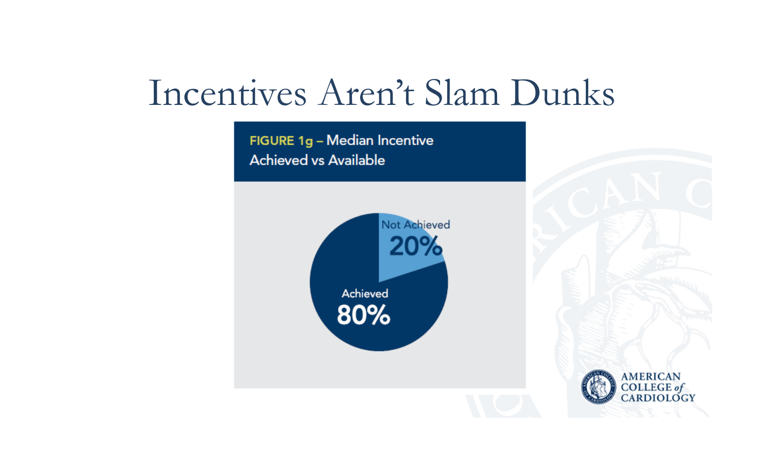### Incentives Aren't Slam Dunks

FIGURE 1g - Median Incentive **Achieved vs Available** 



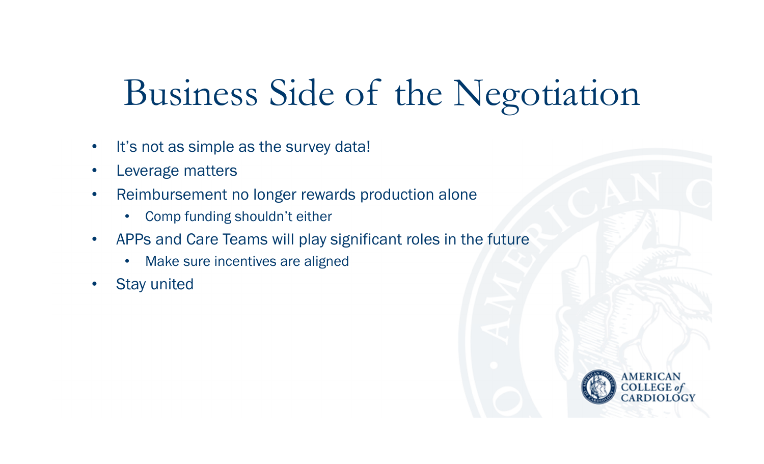### Business Side of the Negotiation

- $\bullet$ It's not as simple as the survey data!
- $\bullet$ Leverage matters
- $\bullet$  Reimbursement no longer rewards production alone
	- $\bullet$ Comp funding shouldn't either
- $\bullet$  APPs and Care Teams will play significant roles in the future
	- $\bullet$ Make sure incentives are aligned
- $\bullet$ Stay united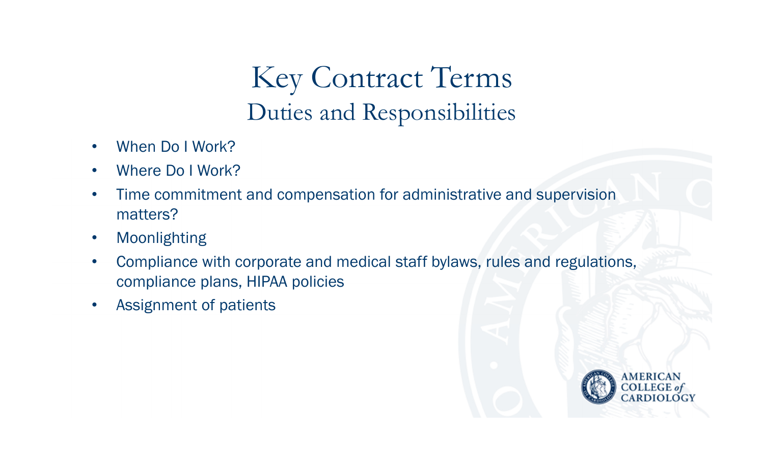#### Key Contract TermsDuties and Responsibilities

- •When Do I Work?
- $\bullet$ Where Do I Work?
- $\bullet$  Time commitment and compensation for administrative and supervision matters?
- $\bullet$ Moonlighting
- $\bullet$  Compliance with corporate and medical staff bylaws, rules and regulations, compliance plans, HIPAA policies
- •Assignment of patients

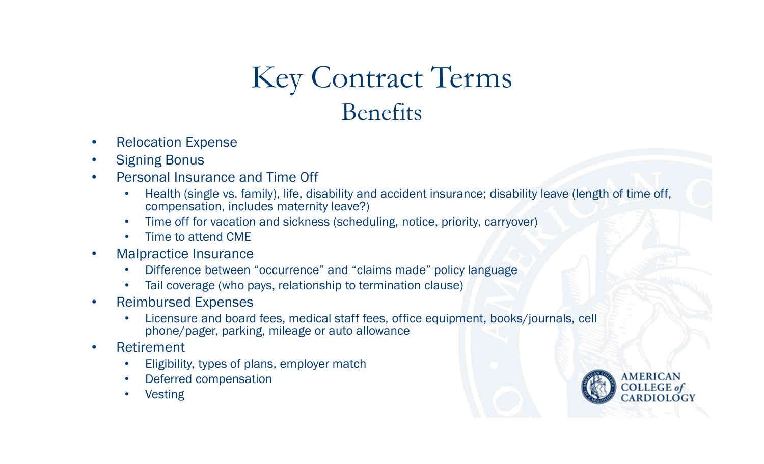#### Key Contract TermsBenefits

- $\bullet$ Relocation Expense
- $\bullet$ Signing Bonus
- Personal Insurance and Time Off •
	- $\bullet$  Health (single vs. family), life, disability and accident insurance; disability leave (length of time off, compensation, includes maternity leave?)
	- $\bullet$ Time off for vacation and sickness (scheduling, notice, priority, carryover)
	- •Time to attend CME
- Malpractice Insurance  $\bullet$ 
	- Difference between "occurrence" and "claims made" policy language•
	- •Tail coverage (who pays, relationship to termination clause)
- $\bullet$  Reimbursed Expenses
	- $\bullet$  Licensure and board fees, medical staff fees, office equipment, books/journals, cell phone/pager, parking, mileage or auto allowance
- • Retirement
	- •Eligibility, types of plans, employer match
	- •Deferred compensation
	- •Vesting

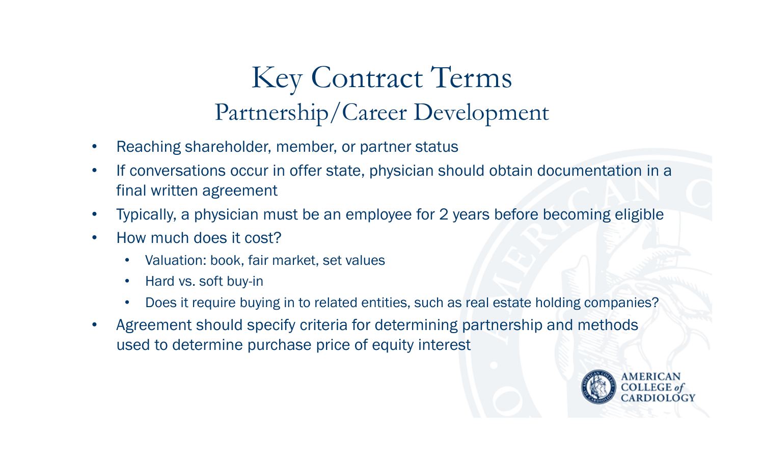#### Key Contract TermsPartnership/Career Development

- •Reaching shareholder, member, or partner status
- • If conversations occur in offer state, physician should obtain documentation in a final written agreement
- •Typically, a physician must be an employee for 2 years before becoming eligible
- $\bullet$  How much does it cost?
	- •Valuation: book, fair market, set values
	- $\bullet$ Hard vs. soft buy-in
	- $\bullet$ Does it require buying in to related entities, such as real estate holding companies?
- • Agreement should specify criteria for determining partnership and methods used to determine purchase price of equity interest

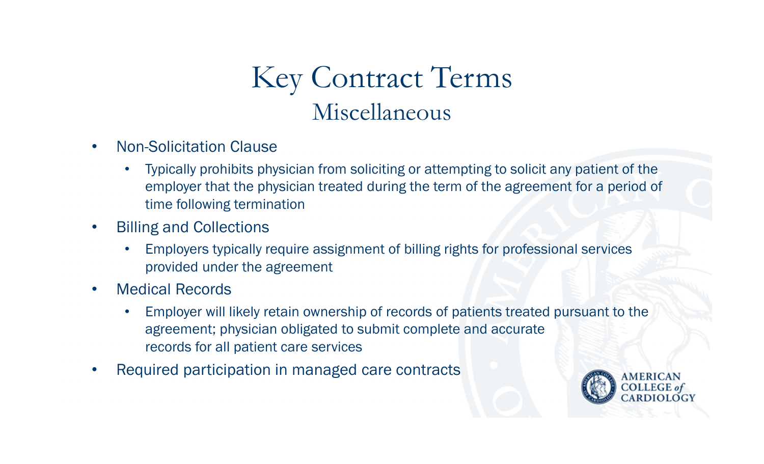#### Key Contract TermsMiscellaneous

- • Non-Solicitation Clause
	- • Typically prohibits physician from soliciting or attempting to solicit any patient of the employer that the physician treated during the term of the agreement for a period of time following termination
- • Billing and Collections
	- • Employers typically require assignment of billing rights for professional services provided under the agreement
- $\bullet$  Medical Records
	- $\bullet$  Employer will likely retain ownership of records of patients treated pursuant to the agreement; physician obligated to submit complete and accurate records for all patient care services
- •Required participation in managed care contracts

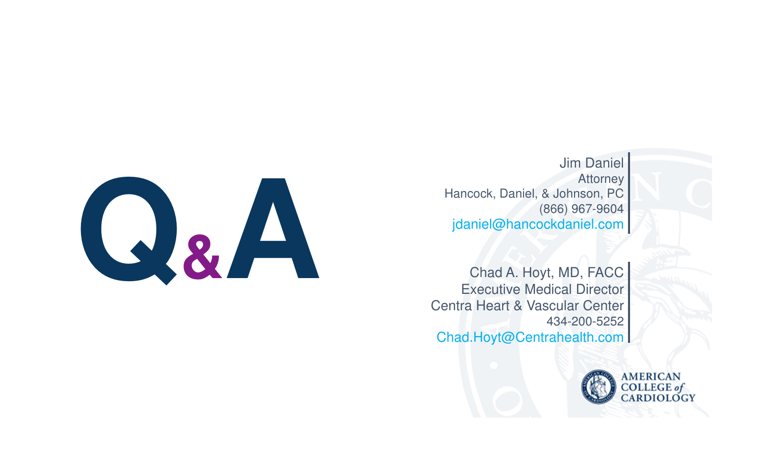

Jim Daniel**Attorney**  Hancock, Daniel, & Johnson, PC (866) 967-9604jdaniel@hancockdaniel.com

Chad A. Hoyt, MD, FACC<br>Executive Medical Director<br>Centra Heart & Vascular Center<br>434-200-5252<br>Chad.Hoyt@Centrahealth.com Centra Heart & Vascular Center 434-200-5252Chad.Hoyt@Centrahealth.com